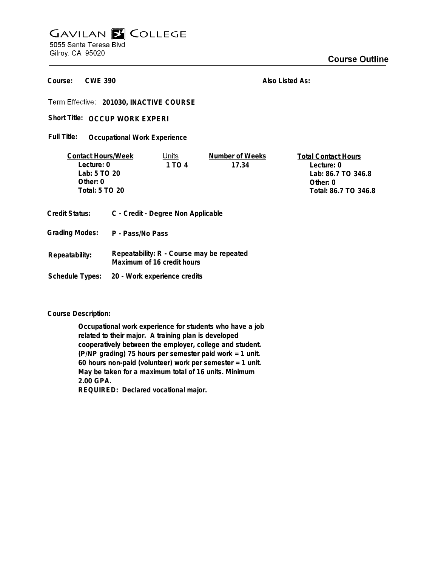## **GAVILAN E COLLEGE** 5055 Santa Teresa Blvd

Gilroy, CA 95020

**CWE 390 Course:**

**Also Listed As:**

**201030, INACTIVE COURSE**

Short Title: OCCUP WORK EXPERI

**Grading Modes: P - Pass/No Pass**

**Schedule Types: 20 - Work experience credits**

**Occupational Work Experience Full Title:**

| <b>Contact Hours/Week</b>                                   |  | Units  | Number of Weeks | <b>Total Contact Hours</b> |
|-------------------------------------------------------------|--|--------|-----------------|----------------------------|
| Lecture: 0                                                  |  | 1 TO 4 | 17.34           | Lecture: 0                 |
| Lab: 5 TO 20                                                |  |        |                 | Lab: 86.7 TO 346.8         |
| Other: $0$                                                  |  |        |                 | Other: 0                   |
| Total: 5 TO 20                                              |  |        |                 | Total: 86.7 TO 346.8       |
|                                                             |  |        |                 |                            |
| C - Credit - Degree Non Applicable<br><b>Credit Status:</b> |  |        |                 |                            |

**Course Description:**

**Repeatability:**

**Occupational work experience for students who have a job related to their major. A training plan is developed cooperatively between the employer, college and student. (P/NP grading) 75 hours per semester paid work = 1 unit. 60 hours non-paid (volunteer) work per semester = 1 unit. May be taken for a maximum total of 16 units. Minimum 2.00 GPA. REQUIRED: Declared vocational major.**

**Repeatability: R - Course may be repeated**

**Maximum of 16 credit hours**